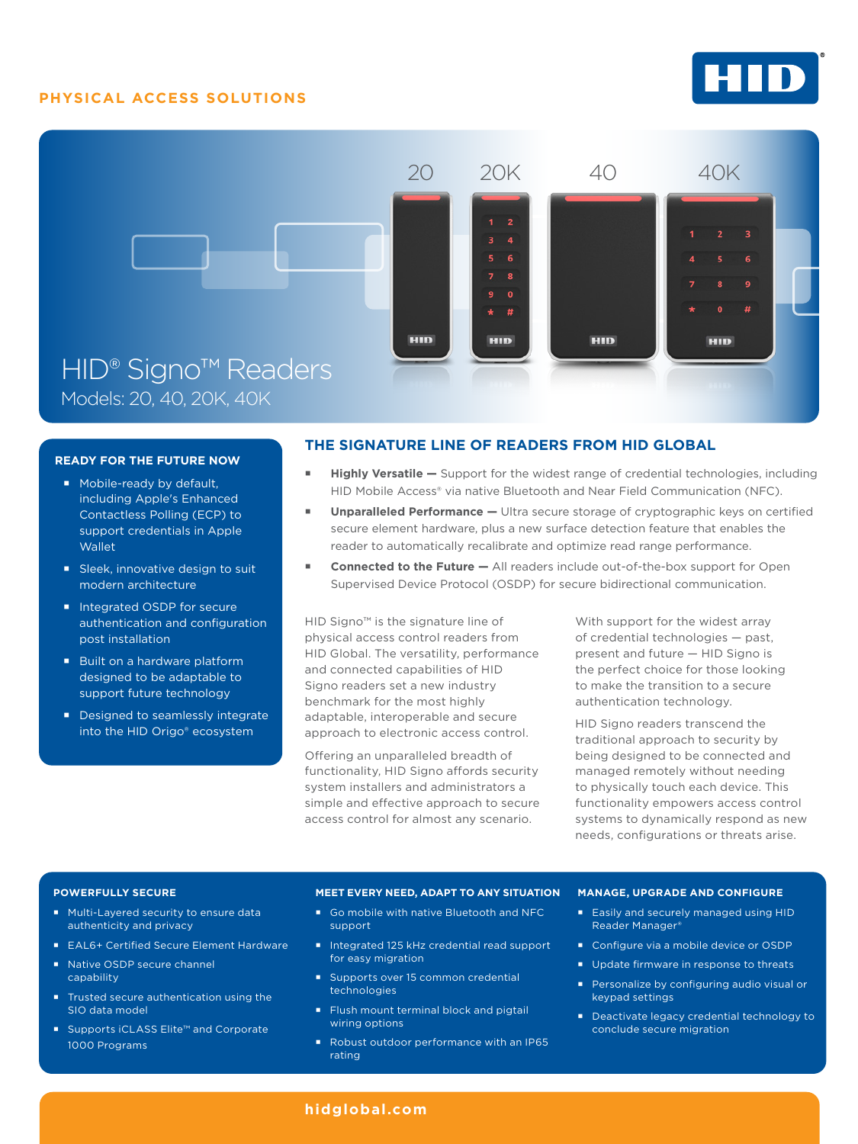## **PHYSICAL ACCESS SOLUTIONS**





### **READY FOR THE FUTURE NOW**

- **Mobile-ready by default,** including Apple's Enhanced Contactless Polling (ECP) to support credentials in Apple **Wallet**
- Sleek, innovative design to suit modern architecture
- Integrated OSDP for secure authentication and configuration post installation
- Built on a hardware platform designed to be adaptable to support future technology
- Designed to seamlessly integrate into the HID Origo® ecosystem

## **THE SIGNATURE LINE OF READERS FROM HID GLOBAL**

- **Highly Versatile** Support for the widest range of credential technologies, including HID Mobile Access® via native Bluetooth and Near Field Communication (NFC).
- **Unparalleled Performance** Ultra secure storage of cryptographic keys on certified secure element hardware, plus a new surface detection feature that enables the reader to automatically recalibrate and optimize read range performance.
- **Connected to the Future —** All readers include out-of-the-box support for Open Supervised Device Protocol (OSDP) for secure bidirectional communication.

HID Signo™ is the signature line of physical access control readers from HID Global. The versatility, performance and connected capabilities of HID Signo readers set a new industry benchmark for the most highly adaptable, interoperable and secure approach to electronic access control.

Offering an unparalleled breadth of functionality, HID Signo affords security system installers and administrators a simple and effective approach to secure access control for almost any scenario.

With support for the widest array of credential technologies — past, present and future — HID Signo is the perfect choice for those looking to make the transition to a secure authentication technology.

HID Signo readers transcend the traditional approach to security by being designed to be connected and managed remotely without needing to physically touch each device. This functionality empowers access control systems to dynamically respond as new needs, configurations or threats arise.

#### **POWERFULLY SECURE**

- Multi-Layered security to ensure data authenticity and privacy
- EAL6+ Certified Secure Element Hardware
- Native OSDP secure channel capability
- **Trusted secure authentication using the** SIO data model
- Supports iCLASS Elite™ and Corporate 1000 Programs

#### **MEET EVERY NEED, ADAPT TO ANY SITUATION**

- Go mobile with native Bluetooth and NFC support
- Integrated 125 kHz credential read support for easy migration
- Supports over 15 common credential technologies
- Flush mount terminal block and pigtail wiring options
- Robust outdoor performance with an IP65 rating

#### **MANAGE, UPGRADE AND CONFIGURE**

- **Easily and securely managed using HID** Reader Manager®
- Configure via a mobile device or OSDP
- Update firmware in response to threats
- **Personalize by configuring audio visual or** keypad settings
- Deactivate legacy credential technology to conclude secure migration